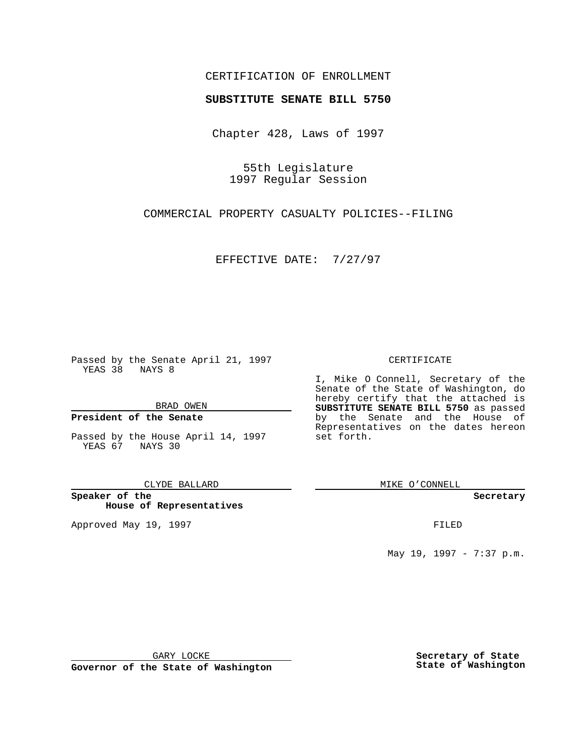## CERTIFICATION OF ENROLLMENT

# **SUBSTITUTE SENATE BILL 5750**

Chapter 428, Laws of 1997

55th Legislature 1997 Regular Session

COMMERCIAL PROPERTY CASUALTY POLICIES--FILING

EFFECTIVE DATE: 7/27/97

Passed by the Senate April 21, 1997 YEAS 38 NAYS 8

BRAD OWEN

### **President of the Senate**

Passed by the House April 14, 1997 YEAS 67 NAYS 30

CLYDE BALLARD

**Speaker of the House of Representatives**

Approved May 19, 1997 **FILED** 

### CERTIFICATE

I, Mike O Connell, Secretary of the Senate of the State of Washington, do hereby certify that the attached is **SUBSTITUTE SENATE BILL 5750** as passed by the Senate and the House of Representatives on the dates hereon set forth.

MIKE O'CONNELL

#### **Secretary**

May 19, 1997 - 7:37 p.m.

GARY LOCKE

**Governor of the State of Washington**

**Secretary of State State of Washington**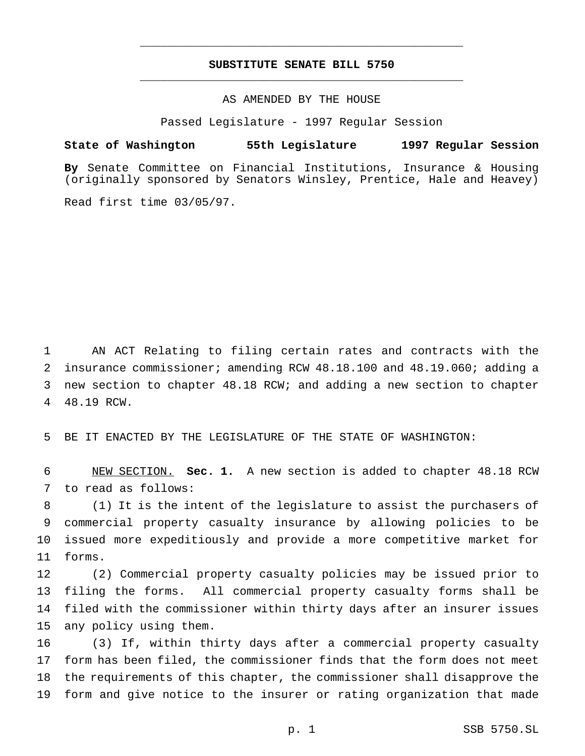## **SUBSTITUTE SENATE BILL 5750** \_\_\_\_\_\_\_\_\_\_\_\_\_\_\_\_\_\_\_\_\_\_\_\_\_\_\_\_\_\_\_\_\_\_\_\_\_\_\_\_\_\_\_\_\_\_\_

\_\_\_\_\_\_\_\_\_\_\_\_\_\_\_\_\_\_\_\_\_\_\_\_\_\_\_\_\_\_\_\_\_\_\_\_\_\_\_\_\_\_\_\_\_\_\_

## AS AMENDED BY THE HOUSE

Passed Legislature - 1997 Regular Session

### **State of Washington 55th Legislature 1997 Regular Session**

**By** Senate Committee on Financial Institutions, Insurance & Housing (originally sponsored by Senators Winsley, Prentice, Hale and Heavey)

Read first time 03/05/97.

 AN ACT Relating to filing certain rates and contracts with the insurance commissioner; amending RCW 48.18.100 and 48.19.060; adding a new section to chapter 48.18 RCW; and adding a new section to chapter 48.19 RCW.

BE IT ENACTED BY THE LEGISLATURE OF THE STATE OF WASHINGTON:

 NEW SECTION. **Sec. 1.** A new section is added to chapter 48.18 RCW to read as follows:

 (1) It is the intent of the legislature to assist the purchasers of commercial property casualty insurance by allowing policies to be issued more expeditiously and provide a more competitive market for forms.

 (2) Commercial property casualty policies may be issued prior to filing the forms. All commercial property casualty forms shall be filed with the commissioner within thirty days after an insurer issues any policy using them.

 (3) If, within thirty days after a commercial property casualty form has been filed, the commissioner finds that the form does not meet the requirements of this chapter, the commissioner shall disapprove the form and give notice to the insurer or rating organization that made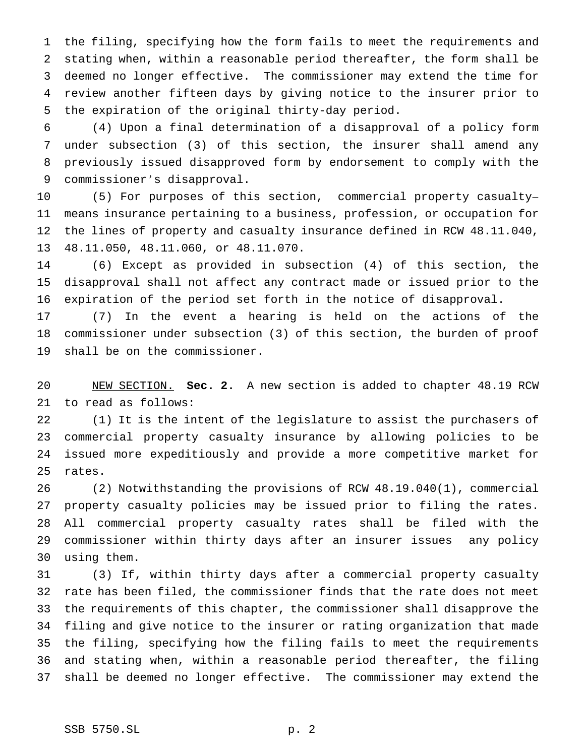the filing, specifying how the form fails to meet the requirements and stating when, within a reasonable period thereafter, the form shall be deemed no longer effective. The commissioner may extend the time for review another fifteen days by giving notice to the insurer prior to the expiration of the original thirty-day period.

 (4) Upon a final determination of a disapproval of a policy form under subsection (3) of this section, the insurer shall amend any previously issued disapproved form by endorsement to comply with the commissioner's disapproval.

 (5) For purposes of this section, commercial property casualty– means insurance pertaining to a business, profession, or occupation for the lines of property and casualty insurance defined in RCW 48.11.040, 48.11.050, 48.11.060, or 48.11.070.

 (6) Except as provided in subsection (4) of this section, the disapproval shall not affect any contract made or issued prior to the expiration of the period set forth in the notice of disapproval.

 (7) In the event a hearing is held on the actions of the commissioner under subsection (3) of this section, the burden of proof shall be on the commissioner.

 NEW SECTION. **Sec. 2.** A new section is added to chapter 48.19 RCW to read as follows:

 (1) It is the intent of the legislature to assist the purchasers of commercial property casualty insurance by allowing policies to be issued more expeditiously and provide a more competitive market for rates.

 (2) Notwithstanding the provisions of RCW 48.19.040(1), commercial property casualty policies may be issued prior to filing the rates. All commercial property casualty rates shall be filed with the commissioner within thirty days after an insurer issues any policy using them.

 (3) If, within thirty days after a commercial property casualty rate has been filed, the commissioner finds that the rate does not meet the requirements of this chapter, the commissioner shall disapprove the filing and give notice to the insurer or rating organization that made the filing, specifying how the filing fails to meet the requirements and stating when, within a reasonable period thereafter, the filing shall be deemed no longer effective. The commissioner may extend the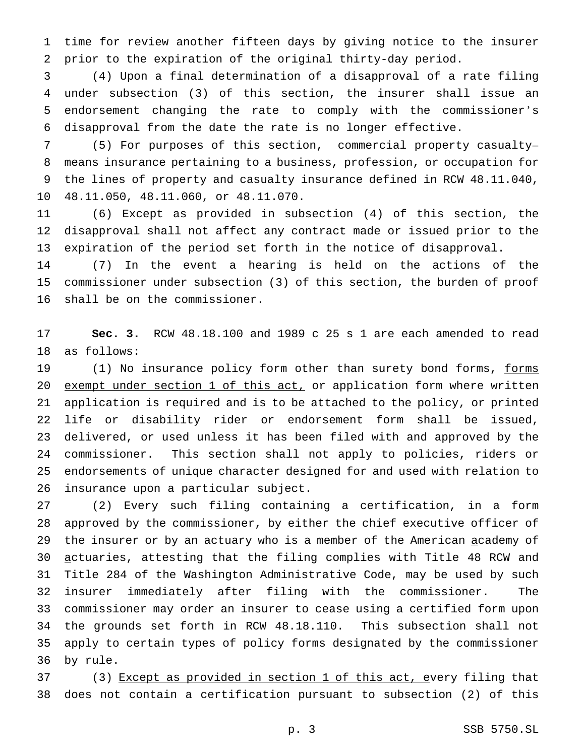time for review another fifteen days by giving notice to the insurer prior to the expiration of the original thirty-day period.

 (4) Upon a final determination of a disapproval of a rate filing under subsection (3) of this section, the insurer shall issue an endorsement changing the rate to comply with the commissioner's disapproval from the date the rate is no longer effective.

 (5) For purposes of this section, commercial property casualty– means insurance pertaining to a business, profession, or occupation for the lines of property and casualty insurance defined in RCW 48.11.040, 48.11.050, 48.11.060, or 48.11.070.

 (6) Except as provided in subsection (4) of this section, the disapproval shall not affect any contract made or issued prior to the expiration of the period set forth in the notice of disapproval.

 (7) In the event a hearing is held on the actions of the commissioner under subsection (3) of this section, the burden of proof shall be on the commissioner.

 **Sec. 3.** RCW 48.18.100 and 1989 c 25 s 1 are each amended to read as follows:

19 (1) No insurance policy form other than surety bond forms, forms 20 exempt under section 1 of this act, or application form where written application is required and is to be attached to the policy, or printed life or disability rider or endorsement form shall be issued, delivered, or used unless it has been filed with and approved by the commissioner. This section shall not apply to policies, riders or endorsements of unique character designed for and used with relation to insurance upon a particular subject.

 (2) Every such filing containing a certification, in a form approved by the commissioner, by either the chief executive officer of 29 the insurer or by an actuary who is a member of the American academy of actuaries, attesting that the filing complies with Title 48 RCW and Title 284 of the Washington Administrative Code, may be used by such insurer immediately after filing with the commissioner. The commissioner may order an insurer to cease using a certified form upon the grounds set forth in RCW 48.18.110. This subsection shall not apply to certain types of policy forms designated by the commissioner by rule.

37 (3) Except as provided in section 1 of this act, every filing that does not contain a certification pursuant to subsection (2) of this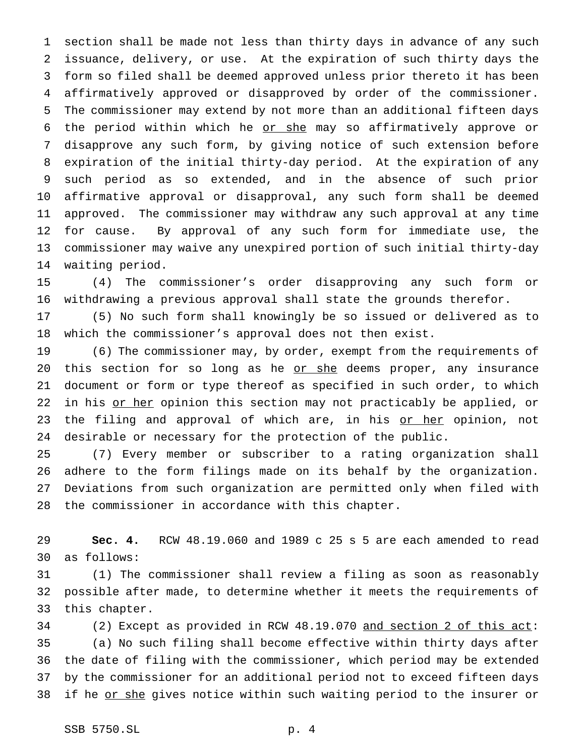section shall be made not less than thirty days in advance of any such issuance, delivery, or use. At the expiration of such thirty days the form so filed shall be deemed approved unless prior thereto it has been affirmatively approved or disapproved by order of the commissioner. The commissioner may extend by not more than an additional fifteen days 6 the period within which he or she may so affirmatively approve or disapprove any such form, by giving notice of such extension before expiration of the initial thirty-day period. At the expiration of any such period as so extended, and in the absence of such prior affirmative approval or disapproval, any such form shall be deemed approved. The commissioner may withdraw any such approval at any time for cause. By approval of any such form for immediate use, the commissioner may waive any unexpired portion of such initial thirty-day waiting period.

 (4) The commissioner's order disapproving any such form or withdrawing a previous approval shall state the grounds therefor.

 (5) No such form shall knowingly be so issued or delivered as to which the commissioner's approval does not then exist.

 (6) The commissioner may, by order, exempt from the requirements of 20 this section for so long as he or she deems proper, any insurance document or form or type thereof as specified in such order, to which 22 in his <u>or her</u> opinion this section may not practicably be applied, or 23 the filing and approval of which are, in his or her opinion, not desirable or necessary for the protection of the public.

 (7) Every member or subscriber to a rating organization shall adhere to the form filings made on its behalf by the organization. Deviations from such organization are permitted only when filed with the commissioner in accordance with this chapter.

 **Sec. 4.** RCW 48.19.060 and 1989 c 25 s 5 are each amended to read as follows:

 (1) The commissioner shall review a filing as soon as reasonably possible after made, to determine whether it meets the requirements of this chapter.

34 (2) Except as provided in RCW 48.19.070 and section 2 of this act: (a) No such filing shall become effective within thirty days after the date of filing with the commissioner, which period may be extended by the commissioner for an additional period not to exceed fifteen days 38 if he or she gives notice within such waiting period to the insurer or